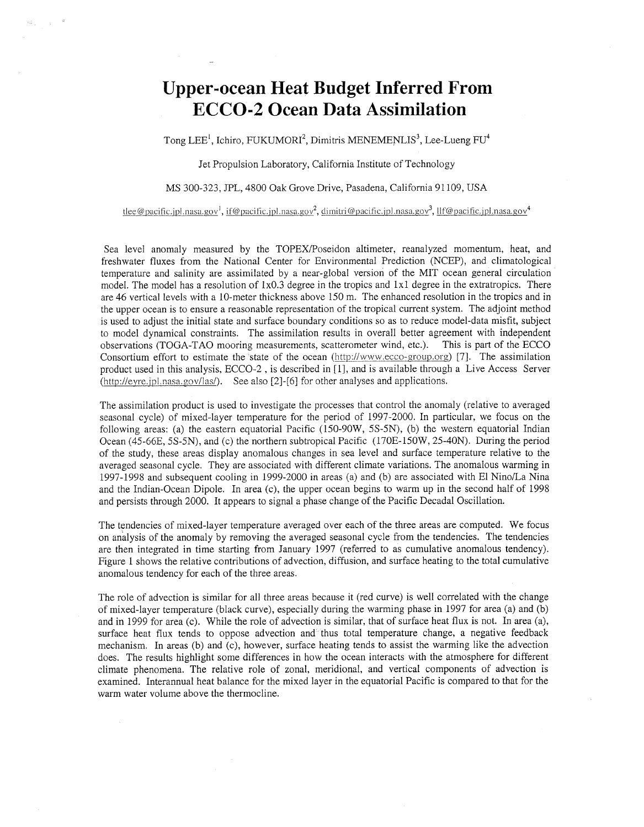## **Upper-ocean Heat Budget Inferred From ECCO-2 Ocean Data Assimilation**

 $\mathcal{C}_{2n+1}^{(2)}$  .

Tong LEE<sup>1</sup>, Ichiro, FUKUMORI<sup>2</sup>, Dimitris MENEMENLIS<sup>3</sup>, Lee-Lueng FU<sup>4</sup>

Jet Propulsion Laboratory, California Institute of Technology

## MS 300-323, JPL, 4800 Oak Grove Drive, Pasadena, California 91 109, USA

tlee@pacific.jpl.nasa.gov<sup>1</sup>, if@pacific.jpl.nasa.gov<sup>2</sup>, dimitri@pacific.jpl.nasa.gov<sup>3</sup>, llf@pacific.jpl.nasa.gov<sup>4</sup>

Sea level anomaly measured by the TOPEXPoseidon altimeter, reanalyzed momentum, heat, and freshwater fluxes from the National Center for Environmental Prediction (NCEP), and climatological temperature and salinity are assimilated by a near-global version of the MIT ocean general circulation model. The model has a resolution of 1x0.3 degree in the tropics and 1x1 degree in the extratropics. There are 46 vertical levels with a 10-meter thickness above 150 m. The enhanced resolution in the tropics and in the upper ocean is to ensure a reasonable representation of the tropical current system. The adjoint method is used to adjust the initial state and surface boundary conditions so as to reduce model-data misfit, subject to model dynamical constraints. The assimilation results in overall better agreement with independent observations (TOGA-TAO mooring measurements, scatterometer wind, etc.). This is part of the ECCO Consortium effort to estimate the state of the ocean (http://www.ecco-group.org) [7]. The assimilation product used in this analysis, ECCO-2 , is described in [ 11, and is available through a Live Access Server  $(\text{http://evre.ipl.nasa.gov/las/}).$  See also [2]-[6] for other analyses and applications.

The assimilation product is used to investigate the processes that control the anomaly (relative to averaged seasonal cycle) of mixed-layer temperature for the period of 1997-2000. In particular, we focus on the following areas: (a) the eastern equatorial Pacific (150-90W, 5S-5N), (b) the western equatorial Indian Ocean (45-66E, 5S-5N), and (c) the northern subtropical Pacific (170E-I50W, 25-40N). During the period of the study, these areas display anomalous changes in sea level and surface temperature relative to the averaged seasonal cycle. They are associated with different climate variations. The anomalous warming in 1997-1998 and subsequent cooling in 1999-2000 in areas (a) and (b) are associated with El NinoLa Nina and the Indian-Ocean Dipole. In area (c), the upper ocean begins to warm up in the second half of 1998 and persists through 2000. It appears to signal a phase change of the Pacific Decadal Oscillation.

The tendencies of mixed-layer temperature averaged over each of the three areas are computed. We focus on analysis of the anomaly by removing the averaged seasonal cycle from the tendencies. The tendencies are then integrated in time starting from January 1997 (referred to as cumulative anomalous tendency). Figure 1 shows the relative contributions of advection, diffusion, and surface heating to the total cumulative anomalous tendency for each of the three areas.

The role of advection is similar for all three areas because it (red curve) is well correlated with the change of mixed-layer temperature (black curve), especially during the warming phase in 1997 for area (a) and (b) and in 1999 for area (c). While the role of advection is similar, that of surface heat flux is not. In area (a), surface heat flux tends to oppose advection and thus total temperature change, a negative feedback mechanism. In areas (b) and (c), however, surface heating tends to assist the warming like the advection does. The results highlight some differences in how the ocean interacts with the atmosphere for different climate phenomena. The relative role of zonal, meridional, and vertical components of advection is examined. Interannual heat balance for the mixed layer in the equatorial Pacific is compared to that for the warm water volume above the thermocline.